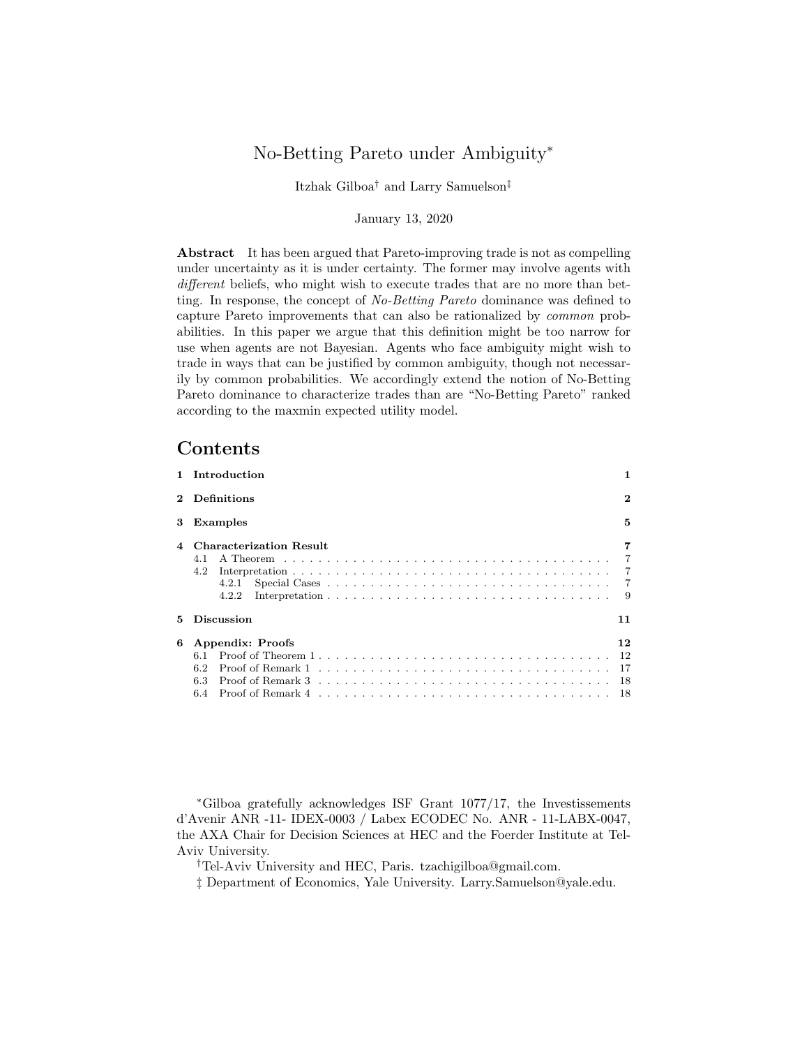# No-Betting Pareto under Ambiguity<sup>∗</sup>

Itzhak Gilboa† and Larry Samuelson‡

#### January 13, 2020

Abstract It has been argued that Pareto-improving trade is not as compelling under uncertainty as it is under certainty. The former may involve agents with different beliefs, who might wish to execute trades that are no more than betting. In response, the concept of No-Betting Pareto dominance was defined to capture Pareto improvements that can also be rationalized by common probabilities. In this paper we argue that this definition might be too narrow for use when agents are not Bayesian. Agents who face ambiguity might wish to trade in ways that can be justified by common ambiguity, though not necessarily by common probabilities. We accordingly extend the notion of No-Betting Pareto dominance to characterize trades than are "No-Betting Pareto" ranked according to the maxmin expected utility model.

### Contents

| Introduction                                                   |                                             |
|----------------------------------------------------------------|---------------------------------------------|
| Definitions                                                    | $\bf{2}$                                    |
| Examples                                                       | 5                                           |
| <b>Characterization Result</b><br>4.1<br>4.2<br>4.2.1<br>4.2.2 | 7<br>$\overline{7}$<br>$\overline{7}$<br>-9 |
| <b>Discussion</b>                                              | 11                                          |
| Appendix: Proofs<br>61<br>6.2<br>6.3<br>6.4                    | 12<br>-12<br>-17<br>-18<br>- 18             |
|                                                                |                                             |

<sup>∗</sup>Gilboa gratefully acknowledges ISF Grant 1077/17, the Investissements d'Avenir ANR -11- IDEX-0003 / Labex ECODEC No. ANR - 11-LABX-0047, the AXA Chair for Decision Sciences at HEC and the Foerder Institute at Tel-Aviv University.

†Tel-Aviv University and HEC, Paris. tzachigilboa@gmail.com.

‡ Department of Economics, Yale University. Larry.Samuelson@yale.edu.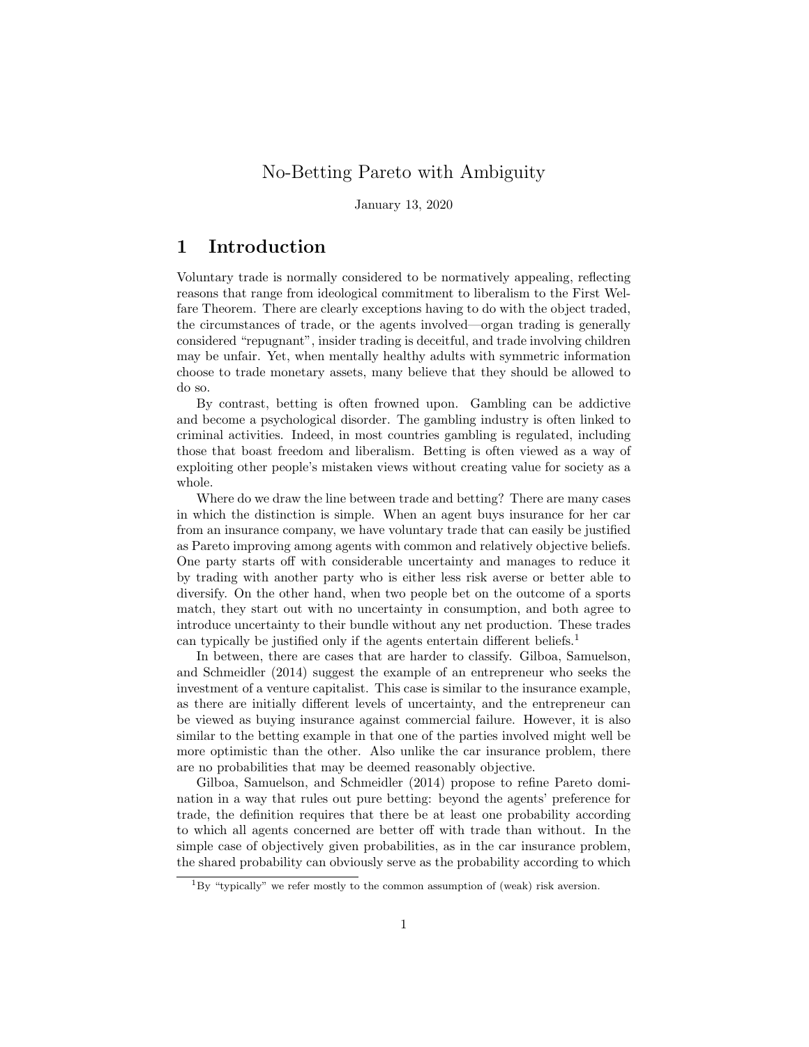# No-Betting Pareto with Ambiguity

January 13, 2020

## 1 Introduction

Voluntary trade is normally considered to be normatively appealing, reflecting reasons that range from ideological commitment to liberalism to the First Welfare Theorem. There are clearly exceptions having to do with the object traded, the circumstances of trade, or the agents involved—organ trading is generally considered "repugnant", insider trading is deceitful, and trade involving children may be unfair. Yet, when mentally healthy adults with symmetric information choose to trade monetary assets, many believe that they should be allowed to do so.

By contrast, betting is often frowned upon. Gambling can be addictive and become a psychological disorder. The gambling industry is often linked to criminal activities. Indeed, in most countries gambling is regulated, including those that boast freedom and liberalism. Betting is often viewed as a way of exploiting other people's mistaken views without creating value for society as a whole.

Where do we draw the line between trade and betting? There are many cases in which the distinction is simple. When an agent buys insurance for her car from an insurance company, we have voluntary trade that can easily be justified as Pareto improving among agents with common and relatively objective beliefs. One party starts off with considerable uncertainty and manages to reduce it by trading with another party who is either less risk averse or better able to diversify. On the other hand, when two people bet on the outcome of a sports match, they start out with no uncertainty in consumption, and both agree to introduce uncertainty to their bundle without any net production. These trades can typically be justified only if the agents entertain different beliefs.<sup>1</sup>

In between, there are cases that are harder to classify. Gilboa, Samuelson, and Schmeidler (2014) suggest the example of an entrepreneur who seeks the investment of a venture capitalist. This case is similar to the insurance example, as there are initially different levels of uncertainty, and the entrepreneur can be viewed as buying insurance against commercial failure. However, it is also similar to the betting example in that one of the parties involved might well be more optimistic than the other. Also unlike the car insurance problem, there are no probabilities that may be deemed reasonably objective.

Gilboa, Samuelson, and Schmeidler (2014) propose to refine Pareto domination in a way that rules out pure betting: beyond the agents' preference for trade, the definition requires that there be at least one probability according to which all agents concerned are better off with trade than without. In the simple case of objectively given probabilities, as in the car insurance problem, the shared probability can obviously serve as the probability according to which

 ${}^{1}$ By "typically" we refer mostly to the common assumption of (weak) risk aversion.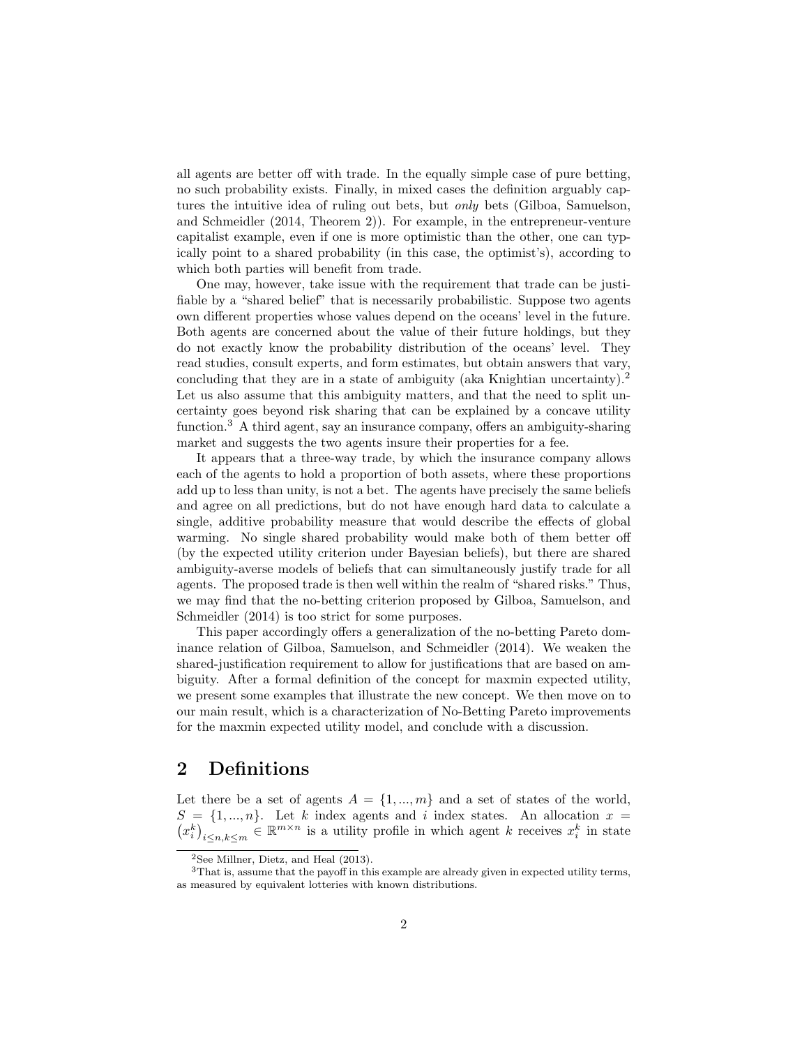all agents are better off with trade. In the equally simple case of pure betting, no such probability exists. Finally, in mixed cases the definition arguably captures the intuitive idea of ruling out bets, but only bets (Gilboa, Samuelson, and Schmeidler (2014, Theorem 2)). For example, in the entrepreneur-venture capitalist example, even if one is more optimistic than the other, one can typically point to a shared probability (in this case, the optimist's), according to which both parties will benefit from trade.

One may, however, take issue with the requirement that trade can be justifiable by a "shared belief" that is necessarily probabilistic. Suppose two agents own different properties whose values depend on the oceans' level in the future. Both agents are concerned about the value of their future holdings, but they do not exactly know the probability distribution of the oceans' level. They read studies, consult experts, and form estimates, but obtain answers that vary, concluding that they are in a state of ambiguity (aka Knightian uncertainty).<sup>2</sup> Let us also assume that this ambiguity matters, and that the need to split uncertainty goes beyond risk sharing that can be explained by a concave utility function.<sup>3</sup> A third agent, say an insurance company, offers an ambiguity-sharing market and suggests the two agents insure their properties for a fee.

It appears that a three-way trade, by which the insurance company allows each of the agents to hold a proportion of both assets, where these proportions add up to less than unity, is not a bet. The agents have precisely the same beliefs and agree on all predictions, but do not have enough hard data to calculate a single, additive probability measure that would describe the effects of global warming. No single shared probability would make both of them better off (by the expected utility criterion under Bayesian beliefs), but there are shared ambiguity-averse models of beliefs that can simultaneously justify trade for all agents. The proposed trade is then well within the realm of "shared risks." Thus, we may find that the no-betting criterion proposed by Gilboa, Samuelson, and Schmeidler (2014) is too strict for some purposes.

This paper accordingly offers a generalization of the no-betting Pareto dominance relation of Gilboa, Samuelson, and Schmeidler (2014). We weaken the shared-justification requirement to allow for justifications that are based on ambiguity. After a formal definition of the concept for maxmin expected utility, we present some examples that illustrate the new concept. We then move on to our main result, which is a characterization of No-Betting Pareto improvements for the maxmin expected utility model, and conclude with a discussion.

## 2 Definitions

Let there be a set of agents  $A = \{1, ..., m\}$  and a set of states of the world,  $S = \{1, ..., n\}$ . Let k index agents and i index states. An allocation  $x =$  $(x_i^k)_{i \leq n, k \leq m} \in \mathbb{R}^{m \times n}$  is a utility profile in which agent k receives  $x_i^k$  in state

 $2$ See Millner, Dietz, and Heal (2013).

<sup>&</sup>lt;sup>3</sup>That is, assume that the payoff in this example are already given in expected utility terms, as measured by equivalent lotteries with known distributions.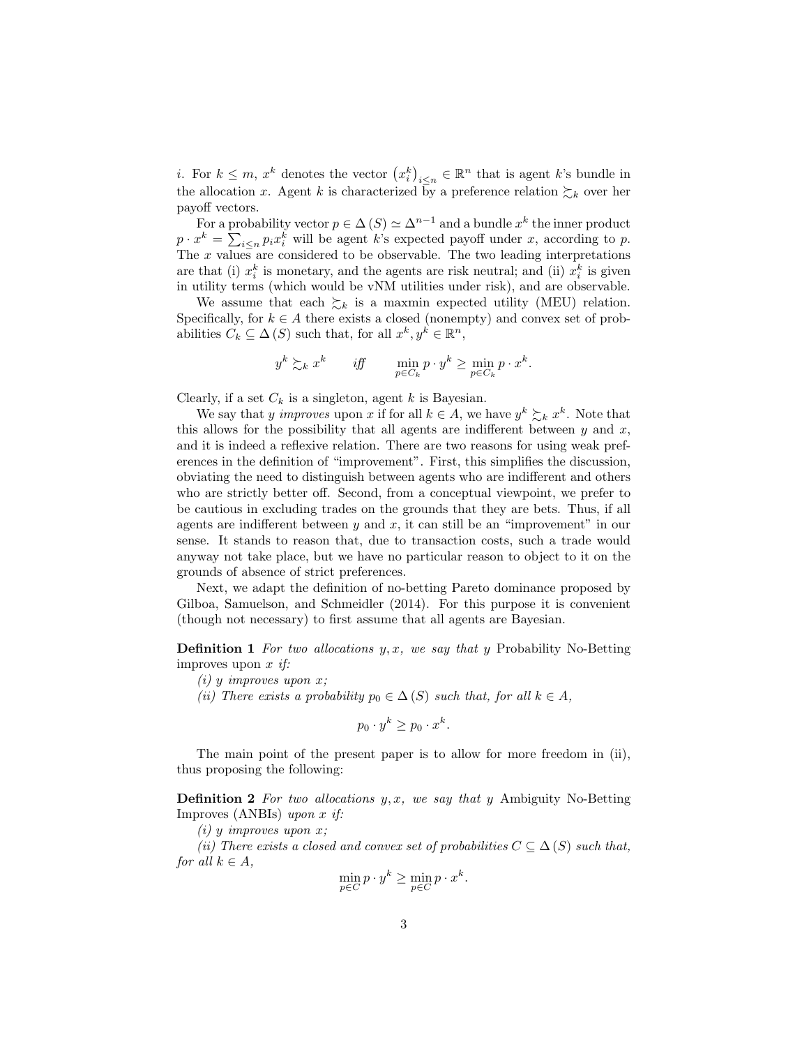*i*. For  $k \leq m$ ,  $x^k$  denotes the vector  $(x_i^k)_{i \leq n} \in \mathbb{R}^n$  that is agent k's bundle in the allocation x. Agent k is characterized by a preference relation  $\sum_k$  over her payoff vectors.

For a probability vector  $p \in \Delta(S) \simeq \Delta^{n-1}$  and a bundle  $x^k$  the inner product  $p \cdot x^k = \sum_{i \leq n} p_i x_i^k$  will be agent k's expected payoff under x, according to p. The  $x$  values are considered to be observable. The two leading interpretations are that (i)  $x_i^k$  is monetary, and the agents are risk neutral; and (ii)  $x_i^k$  is given in utility terms (which would be vNM utilities under risk), and are observable.

We assume that each  $\sum_k$  is a maxmin expected utility (MEU) relation. Specifically, for  $k \in A$  there exists a closed (nonempty) and convex set of probabilities  $C_k \subseteq \Delta(S)$  such that, for all  $x^k, y^k \in \mathbb{R}^n$ ,

$$
y^k \succsim_k x^k \qquad \textit{iff} \qquad \min_{p \in C_k} p \cdot y^k \geq \min_{p \in C_k} p \cdot x^k.
$$

Clearly, if a set  $C_k$  is a singleton, agent k is Bayesian.

We say that y improves upon x if for all  $k \in A$ , we have  $y^k \succsim_k x^k$ . Note that this allows for the possibility that all agents are indifferent between  $y$  and  $x$ , and it is indeed a reflexive relation. There are two reasons for using weak preferences in the definition of "improvement". First, this simplifies the discussion, obviating the need to distinguish between agents who are indifferent and others who are strictly better off. Second, from a conceptual viewpoint, we prefer to be cautious in excluding trades on the grounds that they are bets. Thus, if all agents are indifferent between  $y$  and  $x$ , it can still be an "improvement" in our sense. It stands to reason that, due to transaction costs, such a trade would anyway not take place, but we have no particular reason to object to it on the grounds of absence of strict preferences.

Next, we adapt the definition of no-betting Pareto dominance proposed by Gilboa, Samuelson, and Schmeidler (2014). For this purpose it is convenient (though not necessary) to first assume that all agents are Bayesian.

**Definition 1** For two allocations  $y, x$ , we say that y Probability No-Betting improves upon  $x$  if:

 $(i)$  y improves upon x;

(ii) There exists a probability  $p_0 \in \Delta(S)$  such that, for all  $k \in A$ ,

$$
p_0 \cdot y^k \ge p_0 \cdot x^k.
$$

The main point of the present paper is to allow for more freedom in (ii), thus proposing the following:

**Definition 2** For two allocations  $y, x$ , we say that y Ambiguity No-Betting Improves (ANBIs) upon x if:

 $(i)$  y improves upon x;

(ii) There exists a closed and convex set of probabilities  $C \subseteq \Delta(S)$  such that, for all  $k \in A$ ,

$$
\min_{p \in C} p \cdot y^k \ge \min_{p \in C} p \cdot x^k.
$$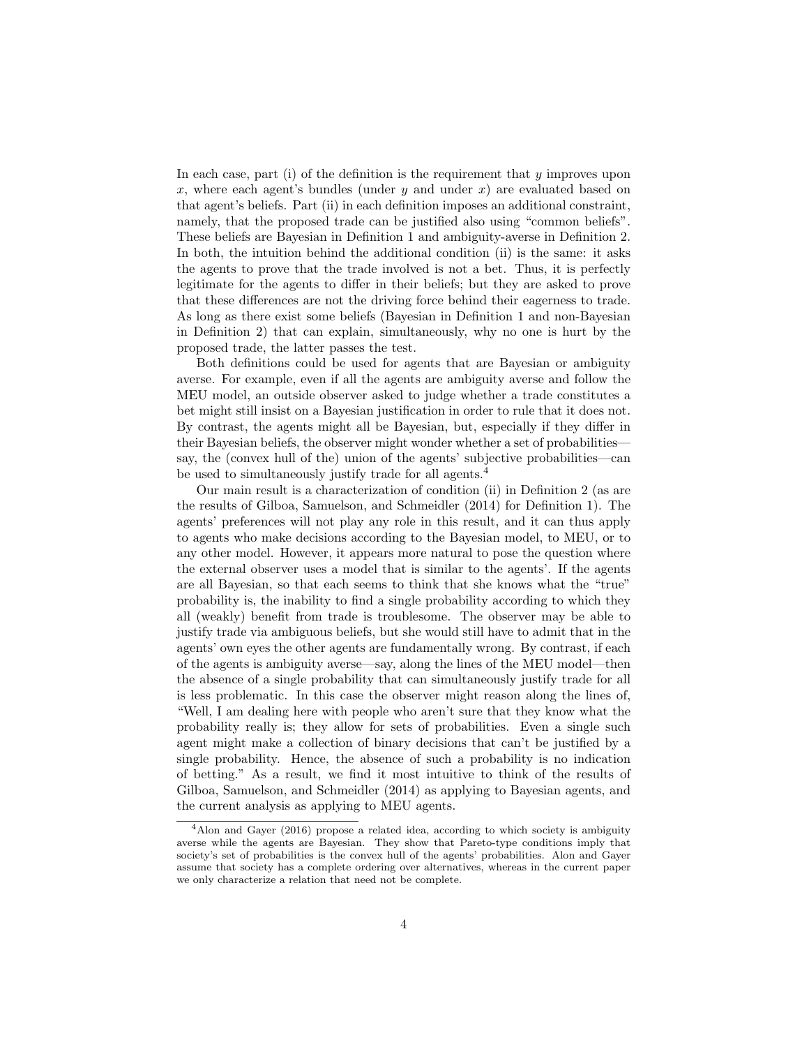In each case, part (i) of the definition is the requirement that  $y$  improves upon x, where each agent's bundles (under  $y$  and under  $x$ ) are evaluated based on that agent's beliefs. Part (ii) in each definition imposes an additional constraint, namely, that the proposed trade can be justified also using "common beliefs". These beliefs are Bayesian in Definition 1 and ambiguity-averse in Definition 2. In both, the intuition behind the additional condition (ii) is the same: it asks the agents to prove that the trade involved is not a bet. Thus, it is perfectly legitimate for the agents to differ in their beliefs; but they are asked to prove that these differences are not the driving force behind their eagerness to trade. As long as there exist some beliefs (Bayesian in Definition 1 and non-Bayesian in Definition 2) that can explain, simultaneously, why no one is hurt by the proposed trade, the latter passes the test.

Both definitions could be used for agents that are Bayesian or ambiguity averse. For example, even if all the agents are ambiguity averse and follow the MEU model, an outside observer asked to judge whether a trade constitutes a bet might still insist on a Bayesian justification in order to rule that it does not. By contrast, the agents might all be Bayesian, but, especially if they differ in their Bayesian beliefs, the observer might wonder whether a set of probabilities say, the (convex hull of the) union of the agents' subjective probabilities—can be used to simultaneously justify trade for all agents.<sup>4</sup>

Our main result is a characterization of condition (ii) in Definition 2 (as are the results of Gilboa, Samuelson, and Schmeidler (2014) for Definition 1). The agents' preferences will not play any role in this result, and it can thus apply to agents who make decisions according to the Bayesian model, to MEU, or to any other model. However, it appears more natural to pose the question where the external observer uses a model that is similar to the agents'. If the agents are all Bayesian, so that each seems to think that she knows what the "true" probability is, the inability to find a single probability according to which they all (weakly) benefit from trade is troublesome. The observer may be able to justify trade via ambiguous beliefs, but she would still have to admit that in the agents' own eyes the other agents are fundamentally wrong. By contrast, if each of the agents is ambiguity averse—say, along the lines of the MEU model—then the absence of a single probability that can simultaneously justify trade for all is less problematic. In this case the observer might reason along the lines of, "Well, I am dealing here with people who aren't sure that they know what the probability really is; they allow for sets of probabilities. Even a single such agent might make a collection of binary decisions that can't be justified by a single probability. Hence, the absence of such a probability is no indication of betting." As a result, we find it most intuitive to think of the results of Gilboa, Samuelson, and Schmeidler (2014) as applying to Bayesian agents, and the current analysis as applying to MEU agents.

<sup>4</sup>Alon and Gayer (2016) propose a related idea, according to which society is ambiguity averse while the agents are Bayesian. They show that Pareto-type conditions imply that society's set of probabilities is the convex hull of the agents' probabilities. Alon and Gayer assume that society has a complete ordering over alternatives, whereas in the current paper we only characterize a relation that need not be complete.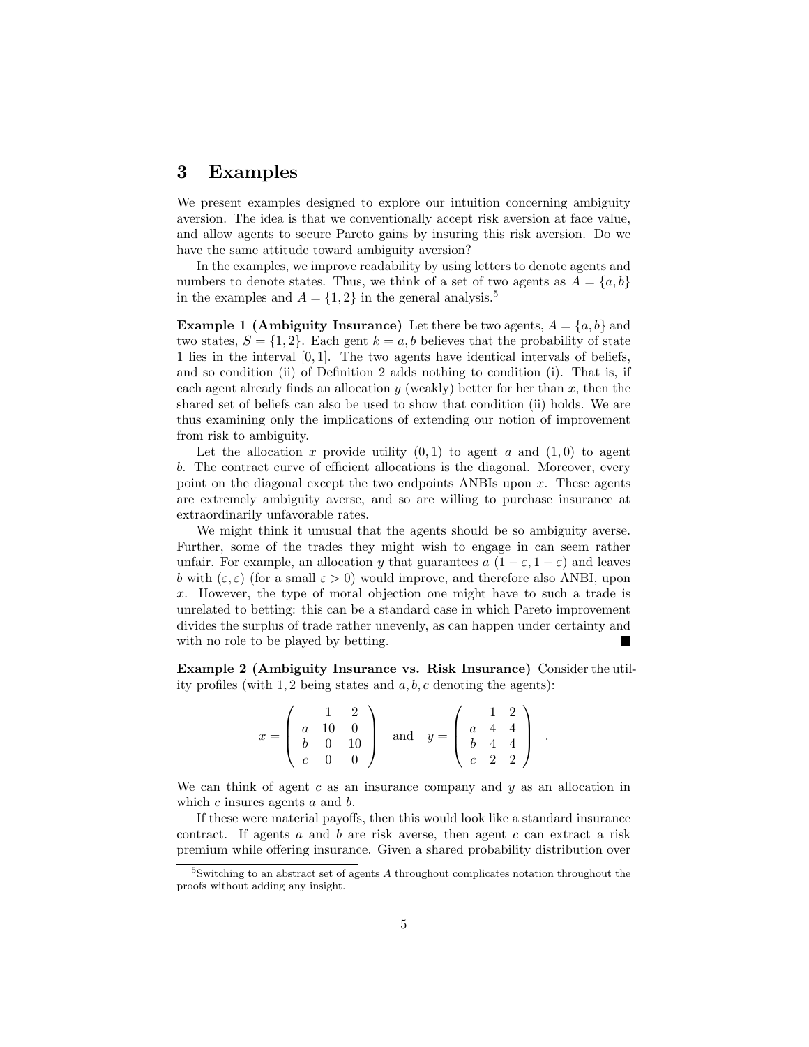## 3 Examples

We present examples designed to explore our intuition concerning ambiguity aversion. The idea is that we conventionally accept risk aversion at face value, and allow agents to secure Pareto gains by insuring this risk aversion. Do we have the same attitude toward ambiguity aversion?

In the examples, we improve readability by using letters to denote agents and numbers to denote states. Thus, we think of a set of two agents as  $A = \{a, b\}$ in the examples and  $A = \{1, 2\}$  in the general analysis.<sup>5</sup>

**Example 1 (Ambiguity Insurance)** Let there be two agents,  $A = \{a, b\}$  and two states,  $S = \{1, 2\}$ . Each gent  $k = a, b$  believes that the probability of state 1 lies in the interval [0, 1]. The two agents have identical intervals of beliefs, and so condition (ii) of Definition 2 adds nothing to condition (i). That is, if each agent already finds an allocation  $y$  (weakly) better for her than  $x$ , then the shared set of beliefs can also be used to show that condition (ii) holds. We are thus examining only the implications of extending our notion of improvement from risk to ambiguity.

Let the allocation x provide utility  $(0,1)$  to agent a and  $(1,0)$  to agent b. The contract curve of efficient allocations is the diagonal. Moreover, every point on the diagonal except the two endpoints ANBIs upon  $x$ . These agents are extremely ambiguity averse, and so are willing to purchase insurance at extraordinarily unfavorable rates.

We might think it unusual that the agents should be so ambiguity averse. Further, some of the trades they might wish to engage in can seem rather unfair. For example, an allocation y that guarantees  $a(1 - \varepsilon, 1 - \varepsilon)$  and leaves b with  $(\varepsilon, \varepsilon)$  (for a small  $\varepsilon > 0$ ) would improve, and therefore also ANBI, upon x. However, the type of moral objection one might have to such a trade is unrelated to betting: this can be a standard case in which Pareto improvement divides the surplus of trade rather unevenly, as can happen under certainty and with no role to be played by betting.

Example 2 (Ambiguity Insurance vs. Risk Insurance) Consider the utility profiles (with 1, 2 being states and  $a, b, c$  denoting the agents):

$$
x = \left(\begin{array}{rrr} 1 & 2 \\ a & 10 & 0 \\ b & 0 & 10 \\ c & 0 & 0 \end{array}\right) \quad \text{and} \quad y = \left(\begin{array}{rrr} 1 & 2 \\ a & 4 & 4 \\ b & 4 & 4 \\ c & 2 & 2 \end{array}\right) .
$$

We can think of agent c as an insurance company and  $y$  as an allocation in which  $c$  insures agents  $a$  and  $b$ .

If these were material payoffs, then this would look like a standard insurance contract. If agents  $a$  and  $b$  are risk averse, then agent  $c$  can extract a risk premium while offering insurance. Given a shared probability distribution over

<sup>&</sup>lt;sup>5</sup>Switching to an abstract set of agents A throughout complicates notation throughout the proofs without adding any insight.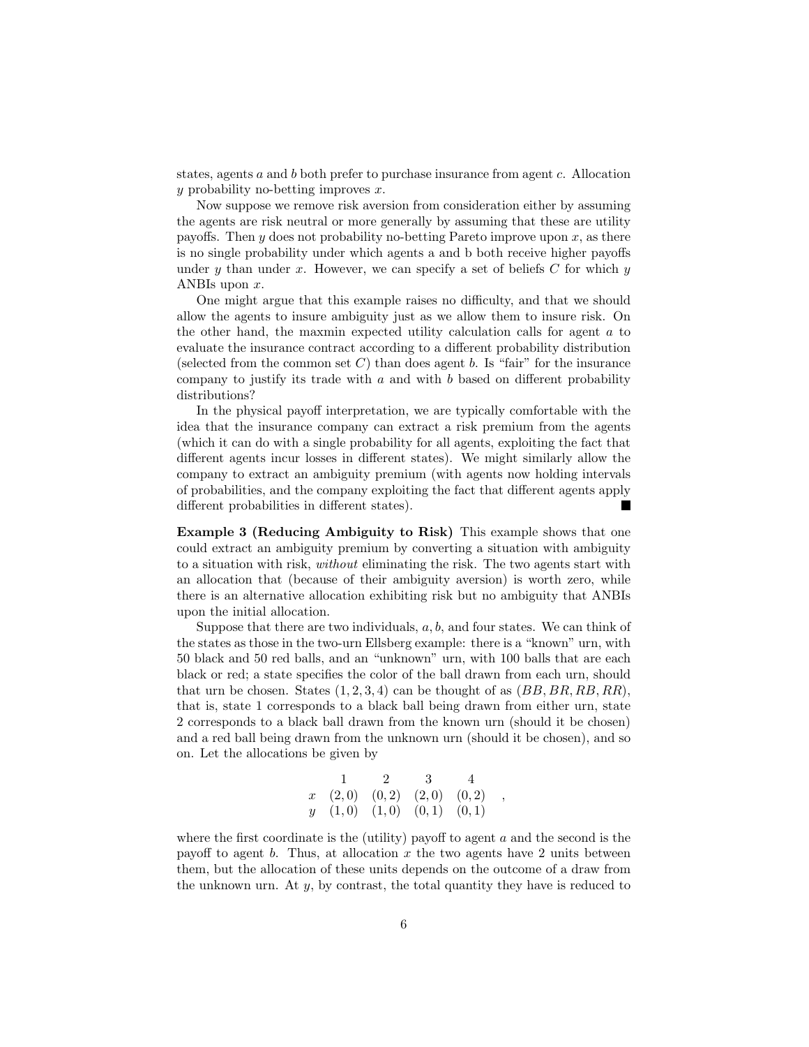states, agents a and b both prefer to purchase insurance from agent c. Allocation  $y$  probability no-betting improves  $x$ .

Now suppose we remove risk aversion from consideration either by assuming the agents are risk neutral or more generally by assuming that these are utility payoffs. Then y does not probability no-betting Pareto improve upon x, as there is no single probability under which agents a and b both receive higher payoffs under y than under x. However, we can specify a set of beliefs  $C$  for which y ANBIs upon x.

One might argue that this example raises no difficulty, and that we should allow the agents to insure ambiguity just as we allow them to insure risk. On the other hand, the maxmin expected utility calculation calls for agent a to evaluate the insurance contract according to a different probability distribution (selected from the common set  $C$ ) than does agent b. Is "fair" for the insurance company to justify its trade with  $a$  and with  $b$  based on different probability distributions?

In the physical payoff interpretation, we are typically comfortable with the idea that the insurance company can extract a risk premium from the agents (which it can do with a single probability for all agents, exploiting the fact that different agents incur losses in different states). We might similarly allow the company to extract an ambiguity premium (with agents now holding intervals of probabilities, and the company exploiting the fact that different agents apply different probabilities in different states).

Example 3 (Reducing Ambiguity to Risk) This example shows that one could extract an ambiguity premium by converting a situation with ambiguity to a situation with risk, without eliminating the risk. The two agents start with an allocation that (because of their ambiguity aversion) is worth zero, while there is an alternative allocation exhibiting risk but no ambiguity that ANBIs upon the initial allocation.

Suppose that there are two individuals,  $a, b$ , and four states. We can think of the states as those in the two-urn Ellsberg example: there is a "known" urn, with 50 black and 50 red balls, and an "unknown" urn, with 100 balls that are each black or red; a state specifies the color of the ball drawn from each urn, should that urn be chosen. States  $(1, 2, 3, 4)$  can be thought of as  $(BB, BR, RB, RR)$ , that is, state 1 corresponds to a black ball being drawn from either urn, state 2 corresponds to a black ball drawn from the known urn (should it be chosen) and a red ball being drawn from the unknown urn (should it be chosen), and so on. Let the allocations be given by

$$
\begin{array}{cccccc}\n & 1 & 2 & 3 & 4 \\
x & (2,0) & (0,2) & (2,0) & (0,2) \\
y & (1,0) & (1,0) & (0,1) & (0,1)\n\end{array}
$$

,

where the first coordinate is the (utility) payoff to agent  $a$  and the second is the payoff to agent b. Thus, at allocation x the two agents have 2 units between them, but the allocation of these units depends on the outcome of a draw from the unknown urn. At  $y$ , by contrast, the total quantity they have is reduced to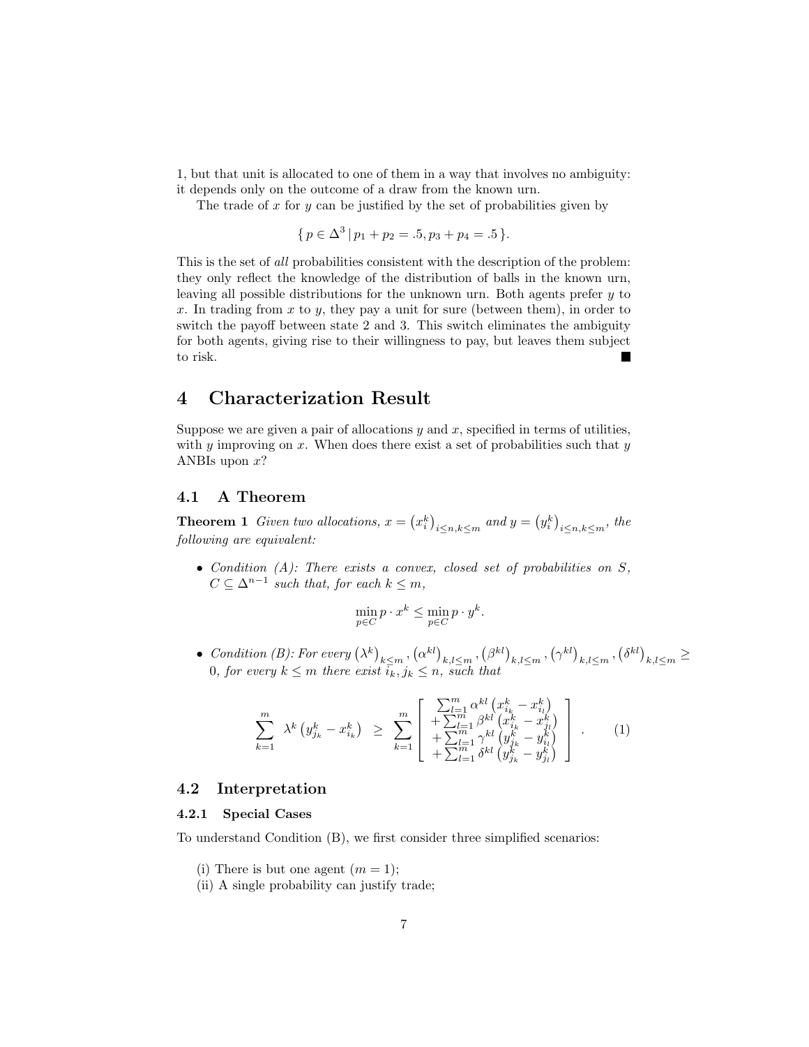1, but that unit is allocated to one of them in a way that involves no ambiguity: it depends only on the outcome of a draw from the known urn.

The trade of x for y can be justified by the set of probabilities given by

 $\{p \in \Delta^3 \, | \, p_1 + p_2 = .5, p_3 + p_4 = .5 \}.$ 

This is the set of all probabilities consistent with the description of the problem: they only reflect the knowledge of the distribution of balls in the known urn, leaving all possible distributions for the unknown urn. Both agents prefer y to x. In trading from x to y, they pay a unit for sure (between them), in order to switch the payoff between state 2 and 3. This switch eliminates the ambiguity for both agents, giving rise to their willingness to pay, but leaves them subject to risk.

## 4 Characterization Result

Suppose we are given a pair of allocations  $y$  and  $x$ , specified in terms of utilities, with  $\gamma$  improving on x. When does there exist a set of probabilities such that  $\gamma$ ANBIs upon  $x$ ?

### 4.1 A Theorem

**Theorem 1** Given two allocations,  $x = (x_i^k)_{i \leq n, k \leq m}$  and  $y = (y_i^k)_{i \leq n, k \leq m}$ , the following are equivalent:

• Condition  $(A)$ : There exists a convex, closed set of probabilities on  $S$ ,  $C \subseteq \Delta^{n-1}$  such that, for each  $k \leq m$ ,

$$
\min_{p \in C} p \cdot x^k \le \min_{p \in C} p \cdot y^k.
$$

• Condition (B): For every  $(\lambda^k)_{k \leq m}$ ,  $(\alpha^{kl})_{k,l \leq m}$ ,  $(\beta^{kl})_{k,l \leq m}$ ,  $(\gamma^{kl})_{k,l \leq m}$ ,  $(\delta^{kl})_{k,l \leq m} \geq$ 0, for every  $k \leq m$  there exist  $\overline{i_k}, j_k \leq n$ , such that

$$
\sum_{k=1}^{m} \lambda^{k} \left( y_{j_{k}}^{k} - x_{i_{k}}^{k} \right) \geq \sum_{k=1}^{m} \begin{bmatrix} \sum_{l=1}^{m} \alpha^{kl} \left( x_{i_{k}}^{k} - x_{i_{l}}^{k} \right) \\ + \sum_{l=1}^{m} \beta^{kl} \left( x_{i_{k}}^{k} - x_{j_{l}}^{k} \right) \\ + \sum_{l=1}^{m} \gamma^{kl} \left( y_{j_{k}}^{k} - y_{i_{l}}^{k} \right) \\ + \sum_{l=1}^{m} \delta^{kl} \left( y_{j_{k}}^{k} - y_{j_{l}}^{k} \right) \end{bmatrix} . \tag{1}
$$

### 4.2 Interpretation

### 4.2.1 Special Cases

To understand Condition (B), we first consider three simplified scenarios:

- (i) There is but one agent  $(m = 1);$
- (ii) A single probability can justify trade;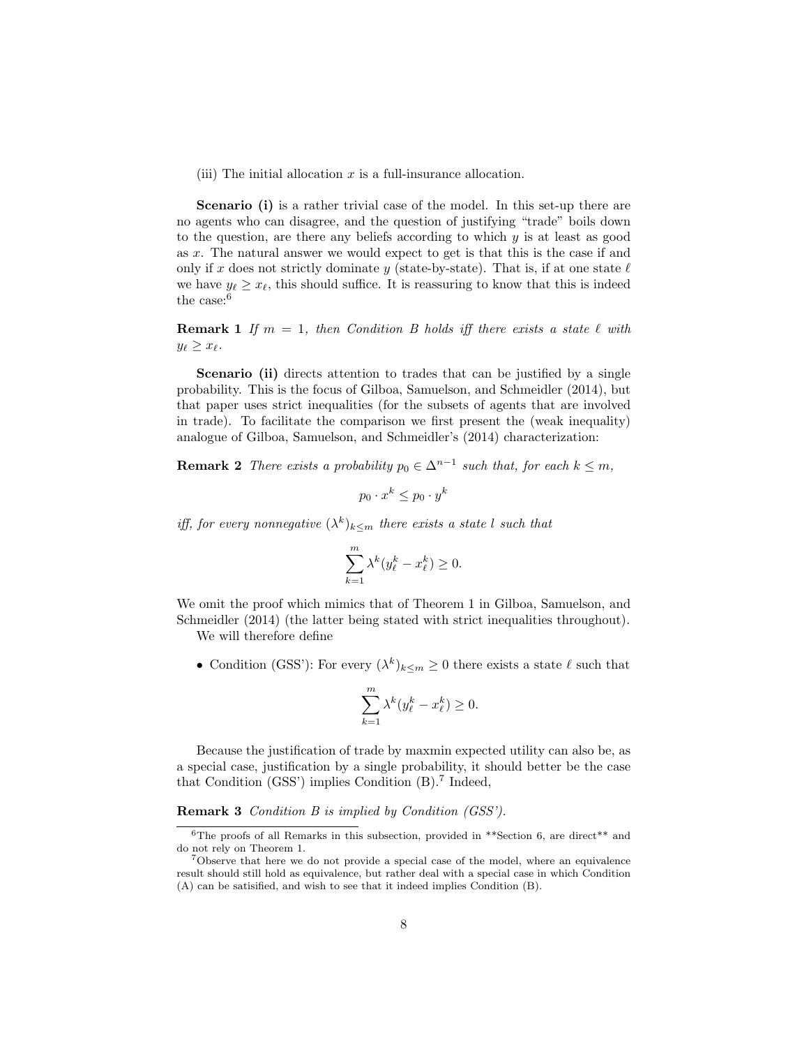(iii) The initial allocation  $x$  is a full-insurance allocation.

Scenario (i) is a rather trivial case of the model. In this set-up there are no agents who can disagree, and the question of justifying "trade" boils down to the question, are there any beliefs according to which  $y$  is at least as good as x. The natural answer we would expect to get is that this is the case if and only if x does not strictly dominate y (state-by-state). That is, if at one state  $\ell$ we have  $y_{\ell} \geq x_{\ell}$ , this should suffice. It is reassuring to know that this is indeed the case:<sup>6</sup>

**Remark 1** If  $m = 1$ , then Condition B holds iff there exists a state  $\ell$  with  $y_{\ell} \geq x_{\ell}$ .

Scenario (ii) directs attention to trades that can be justified by a single probability. This is the focus of Gilboa, Samuelson, and Schmeidler (2014), but that paper uses strict inequalities (for the subsets of agents that are involved in trade). To facilitate the comparison we first present the (weak inequality) analogue of Gilboa, Samuelson, and Schmeidler's (2014) characterization:

**Remark 2** There exists a probability  $p_0 \in \Delta^{n-1}$  such that, for each  $k \leq m$ ,

 $p_0 \cdot x^k \leq p_0 \cdot y^k$ 

iff, for every nonnegative  $(\lambda^k)_{k \leq m}$  there exists a state l such that

$$
\sum_{k=1}^{m} \lambda^k (y_{\ell}^k - x_{\ell}^k) \ge 0.
$$

We omit the proof which mimics that of Theorem 1 in Gilboa, Samuelson, and Schmeidler (2014) (the latter being stated with strict inequalities throughout).

We will therefore define

• Condition (GSS'): For every  $(\lambda^k)_{k \leq m} \geq 0$  there exists a state  $\ell$  such that

$$
\sum_{k=1}^{m} \lambda^k (y_{\ell}^k - x_{\ell}^k) \ge 0.
$$

Because the justification of trade by maxmin expected utility can also be, as a special case, justification by a single probability, it should better be the case that Condition (GSS') implies Condition (B).<sup>7</sup> Indeed,

Remark 3 Condition B is implied by Condition (GSS').

<sup>&</sup>lt;sup>6</sup>The proofs of all Remarks in this subsection, provided in \*\*Section 6, are direct\*\* and do not rely on Theorem 1.

<sup>&</sup>lt;sup>7</sup>Observe that here we do not provide a special case of the model, where an equivalence result should still hold as equivalence, but rather deal with a special case in which Condition (A) can be satisified, and wish to see that it indeed implies Condition (B).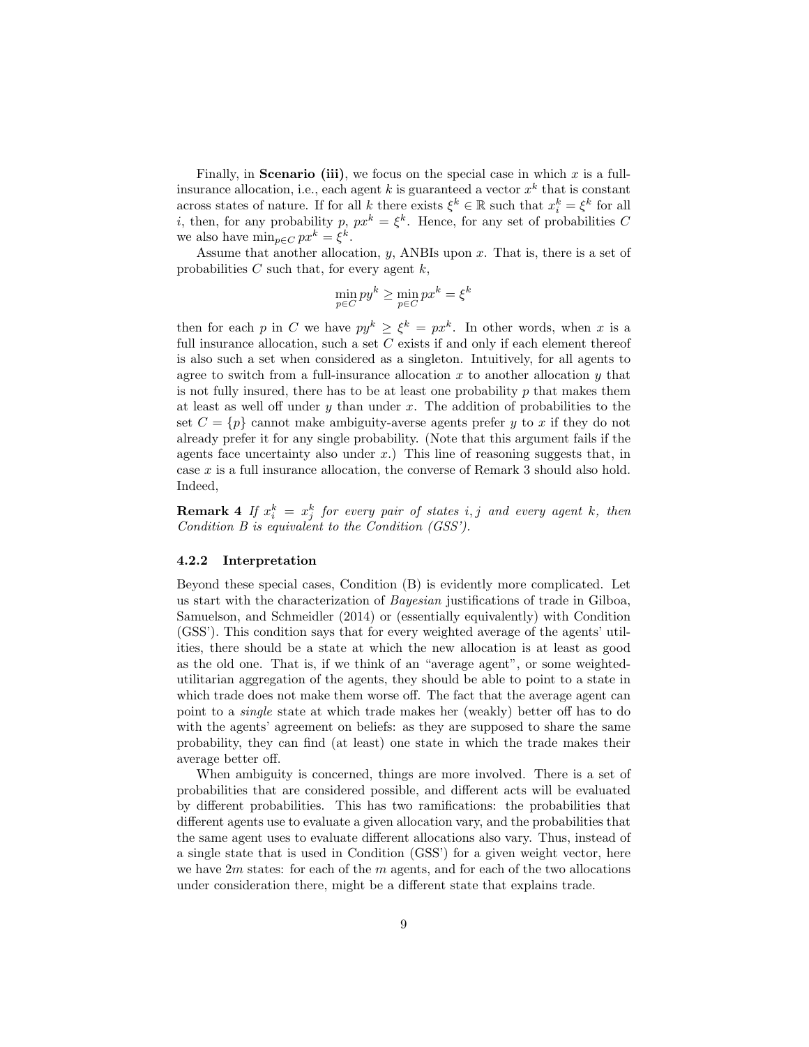Finally, in **Scenario (iii)**, we focus on the special case in which  $x$  is a fullinsurance allocation, i.e., each agent k is guaranteed a vector  $x^k$  that is constant across states of nature. If for all k there exists  $\xi^k \in \mathbb{R}$  such that  $x_i^k = \xi^k$  for all *i*, then, for any probability p,  $px^k = \xi^k$ . Hence, for any set of probabilities C we also have  $\min_{p \in C} px^k = \xi^k$ .

Assume that another allocation,  $y$ , ANBIs upon  $x$ . That is, there is a set of probabilities  $C$  such that, for every agent  $k$ ,

$$
\min_{p \in C} py^k \ge \min_{p \in C} px^k = \xi^k
$$

then for each p in C we have  $py^k \geq \xi^k = px^k$ . In other words, when x is a full insurance allocation, such a set  $C$  exists if and only if each element thereof is also such a set when considered as a singleton. Intuitively, for all agents to agree to switch from a full-insurance allocation x to another allocation y that is not fully insured, there has to be at least one probability  $p$  that makes them at least as well off under  $y$  than under  $x$ . The addition of probabilities to the set  $C = \{p\}$  cannot make ambiguity-averse agents prefer y to x if they do not already prefer it for any single probability. (Note that this argument fails if the agents face uncertainty also under  $x$ .) This line of reasoning suggests that, in case x is a full insurance allocation, the converse of Remark 3 should also hold. Indeed,

**Remark 4** If  $x_i^k = x_j^k$  for every pair of states i, j and every agent k, then Condition B is equivalent to the Condition (GSS').

#### 4.2.2 Interpretation

Beyond these special cases, Condition (B) is evidently more complicated. Let us start with the characterization of Bayesian justifications of trade in Gilboa, Samuelson, and Schmeidler (2014) or (essentially equivalently) with Condition (GSS'). This condition says that for every weighted average of the agents' utilities, there should be a state at which the new allocation is at least as good as the old one. That is, if we think of an "average agent", or some weightedutilitarian aggregation of the agents, they should be able to point to a state in which trade does not make them worse off. The fact that the average agent can point to a single state at which trade makes her (weakly) better off has to do with the agents' agreement on beliefs: as they are supposed to share the same probability, they can find (at least) one state in which the trade makes their average better off.

When ambiguity is concerned, things are more involved. There is a set of probabilities that are considered possible, and different acts will be evaluated by different probabilities. This has two ramifications: the probabilities that different agents use to evaluate a given allocation vary, and the probabilities that the same agent uses to evaluate different allocations also vary. Thus, instead of a single state that is used in Condition (GSS') for a given weight vector, here we have  $2m$  states: for each of the m agents, and for each of the two allocations under consideration there, might be a different state that explains trade.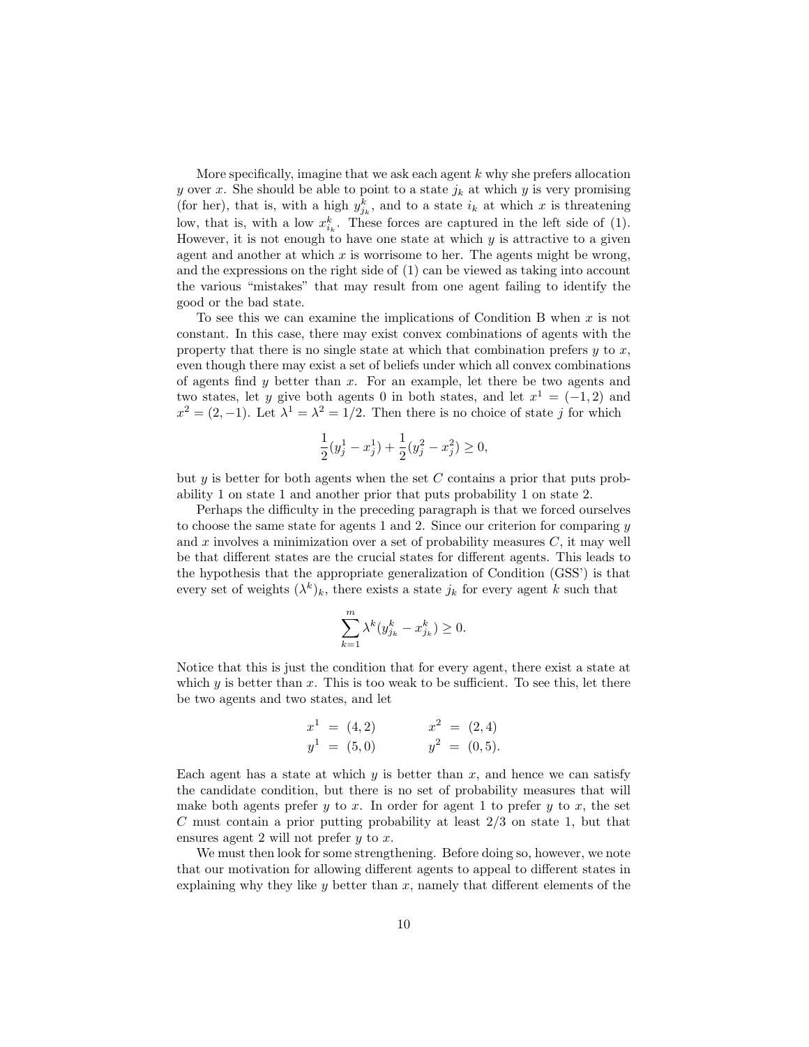More specifically, imagine that we ask each agent  $k$  why she prefers allocation y over x. She should be able to point to a state  $j_k$  at which y is very promising (for her), that is, with a high  $y_{j_k}^k$ , and to a state  $i_k$  at which x is threatening low, that is, with a low  $x_{i_k}^k$ . These forces are captured in the left side of (1). However, it is not enough to have one state at which  $y$  is attractive to a given agent and another at which  $x$  is worrisome to her. The agents might be wrong, and the expressions on the right side of (1) can be viewed as taking into account the various "mistakes" that may result from one agent failing to identify the good or the bad state.

To see this we can examine the implications of Condition B when  $x$  is not constant. In this case, there may exist convex combinations of agents with the property that there is no single state at which that combination prefers  $y$  to  $x$ , even though there may exist a set of beliefs under which all convex combinations of agents find  $y$  better than  $x$ . For an example, let there be two agents and two states, let y give both agents 0 in both states, and let  $x^1 = (-1, 2)$  and  $x^2 = (2, -1)$ . Let  $\lambda^1 = \lambda^2 = 1/2$ . Then there is no choice of state j for which

$$
\frac{1}{2}(y_j^1 - x_j^1) + \frac{1}{2}(y_j^2 - x_j^2) \ge 0,
$$

but  $y$  is better for both agents when the set C contains a prior that puts probability 1 on state 1 and another prior that puts probability 1 on state 2.

Perhaps the difficulty in the preceding paragraph is that we forced ourselves to choose the same state for agents 1 and 2. Since our criterion for comparing  $y$ and  $x$  involves a minimization over a set of probability measures  $C$ , it may well be that different states are the crucial states for different agents. This leads to the hypothesis that the appropriate generalization of Condition (GSS') is that every set of weights  $(\lambda^k)_k$ , there exists a state  $j_k$  for every agent k such that

$$
\sum_{k=1}^m \lambda^k (y_{j_k}^k - x_{j_k}^k) \ge 0.
$$

Notice that this is just the condition that for every agent, there exist a state at which  $y$  is better than  $x$ . This is too weak to be sufficient. To see this, let there be two agents and two states, and let

$$
x1 = (4,2) \t x2 = (2,4) \n y1 = (5,0) \t y2 = (0,5).
$$

Each agent has a state at which  $y$  is better than x, and hence we can satisfy the candidate condition, but there is no set of probability measures that will make both agents prefer  $y$  to x. In order for agent 1 to prefer  $y$  to x, the set  $C$  must contain a prior putting probability at least  $2/3$  on state 1, but that ensures agent 2 will not prefer  $y$  to  $x$ .

We must then look for some strengthening. Before doing so, however, we note that our motivation for allowing different agents to appeal to different states in explaining why they like  $y$  better than  $x$ , namely that different elements of the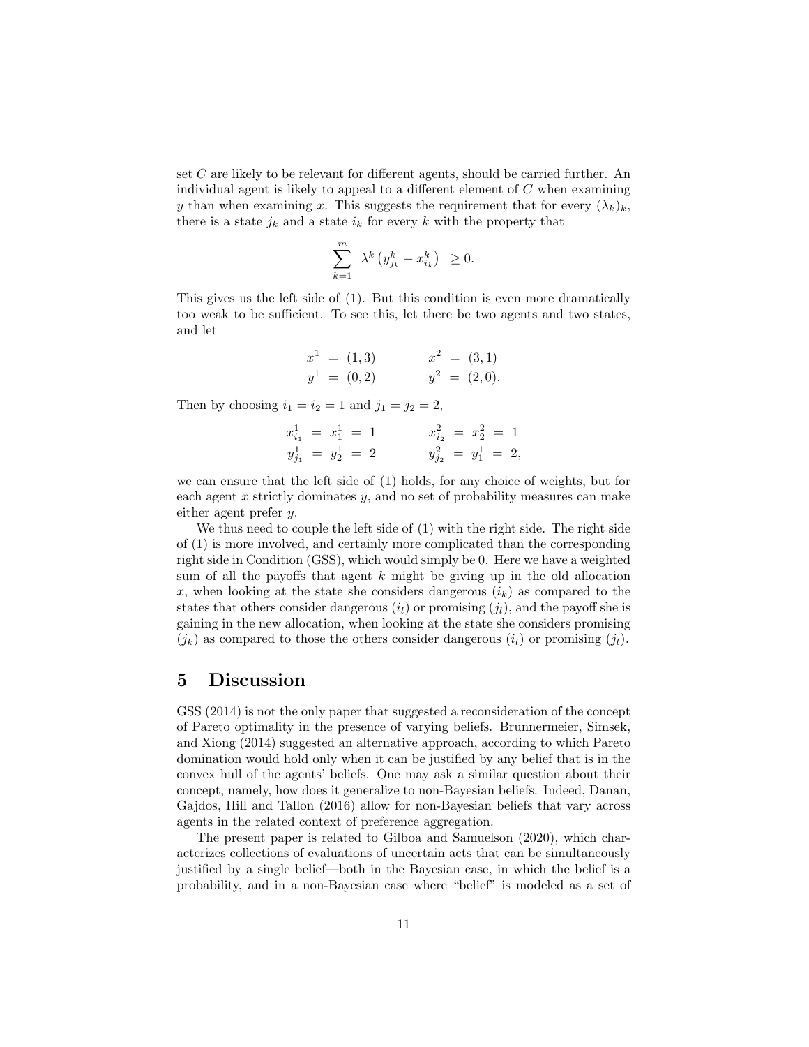set C are likely to be relevant for different agents, should be carried further. An individual agent is likely to appeal to a different element of  $C$  when examining y than when examining x. This suggests the requirement that for every  $(\lambda_k)_k$ , there is a state  $j_k$  and a state  $i_k$  for every k with the property that

$$
\sum_{k=1}^m \lambda^k \left( y_{j_k}^k - x_{i_k}^k \right) \geq 0.
$$

This gives us the left side of (1). But this condition is even more dramatically too weak to be sufficient. To see this, let there be two agents and two states, and let

$$
x1 = (1,3) \t x2 = (3,1) \n y1 = (0,2) \t y2 = (2,0).
$$

Then by choosing  $i_1 = i_2 = 1$  and  $j_1 = j_2 = 2$ ,

$$
x_{i_1}^1 = x_1^1 = 1
$$
  
\n
$$
y_{j_1}^1 = y_2^1 = 2
$$
  
\n
$$
x_{i_2}^2 = x_2^2 = 1
$$
  
\n
$$
y_{j_2}^2 = y_1^1 = 2,
$$

we can ensure that the left side of (1) holds, for any choice of weights, but for each agent x strictly dominates y, and no set of probability measures can make either agent prefer  $y$ .

We thus need to couple the left side of (1) with the right side. The right side of (1) is more involved, and certainly more complicated than the corresponding right side in Condition (GSS), which would simply be 0. Here we have a weighted sum of all the payoffs that agent  $k$  might be giving up in the old allocation x, when looking at the state she considers dangerous  $(i_k)$  as compared to the states that others consider dangerous  $(i_l)$  or promising  $(j_l)$ , and the payoff she is gaining in the new allocation, when looking at the state she considers promising  $(j_k)$  as compared to those the others consider dangerous  $(i_l)$  or promising  $(j_l)$ .

## 5 Discussion

GSS (2014) is not the only paper that suggested a reconsideration of the concept of Pareto optimality in the presence of varying beliefs. Brunnermeier, Simsek, and Xiong (2014) suggested an alternative approach, according to which Pareto domination would hold only when it can be justified by any belief that is in the convex hull of the agents' beliefs. One may ask a similar question about their concept, namely, how does it generalize to non-Bayesian beliefs. Indeed, Danan, Gajdos, Hill and Tallon (2016) allow for non-Bayesian beliefs that vary across agents in the related context of preference aggregation.

The present paper is related to Gilboa and Samuelson (2020), which characterizes collections of evaluations of uncertain acts that can be simultaneously justified by a single belief—both in the Bayesian case, in which the belief is a probability, and in a non-Bayesian case where "belief" is modeled as a set of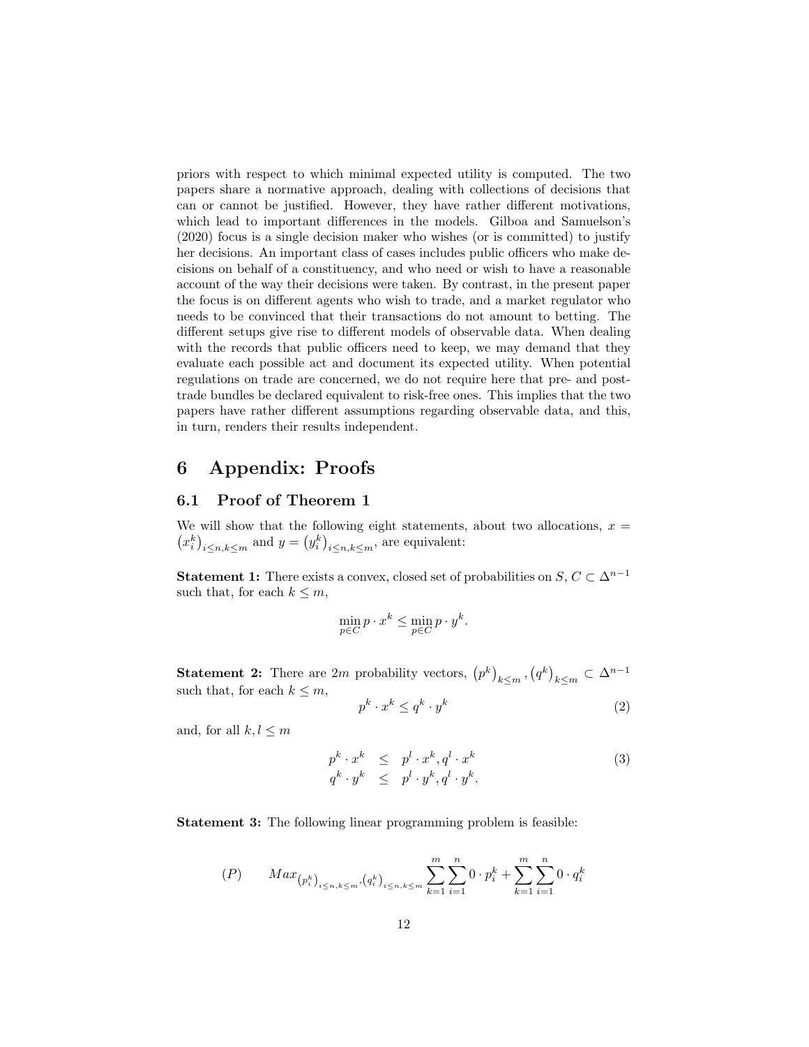priors with respect to which minimal expected utility is computed. The two papers share a normative approach, dealing with collections of decisions that can or cannot be justified. However, they have rather different motivations, which lead to important differences in the models. Gilboa and Samuelson's (2020) focus is a single decision maker who wishes (or is committed) to justify her decisions. An important class of cases includes public officers who make decisions on behalf of a constituency, and who need or wish to have a reasonable account of the way their decisions were taken. By contrast, in the present paper the focus is on different agents who wish to trade, and a market regulator who needs to be convinced that their transactions do not amount to betting. The different setups give rise to different models of observable data. When dealing with the records that public officers need to keep, we may demand that they evaluate each possible act and document its expected utility. When potential regulations on trade are concerned, we do not require here that pre- and posttrade bundles be declared equivalent to risk-free ones. This implies that the two papers have rather different assumptions regarding observable data, and this, in turn, renders their results independent.

## 6 Appendix: Proofs

### 6.1 Proof of Theorem 1

We will show that the following eight statements, about two allocations,  $x =$  $(x_i^k)_{i \leq n, k \leq m}$  and  $y = (y_i^k)_{i \leq n, k \leq m}$ , are equivalent:

**Statement 1:** There exists a convex, closed set of probabilities on  $S, C \subset \Delta^{n-1}$ such that, for each  $k \leq m$ ,

$$
\min_{p \in C} p \cdot x^k \le \min_{p \in C} p \cdot y^k.
$$

**Statement 2:** There are 2m probability vectors,  $(p^k)_{k \leq m}$ ,  $(q^k)_{k \leq m} \subset \Delta^{n-1}$ such that, for each  $k \leq m$ ,

$$
p^k \cdot x^k \le q^k \cdot y^k \tag{2}
$$

and, for all  $k, l \leq m$ 

$$
p^{k} \cdot x^{k} \leq p^{l} \cdot x^{k}, q^{l} \cdot x^{k}
$$
  
\n
$$
q^{k} \cdot y^{k} \leq p^{l} \cdot y^{k}, q^{l} \cdot y^{k}.
$$
\n(3)

Statement 3: The following linear programming problem is feasible:

$$
(P) \qquad Max_{\left(p_i^k\right)_{i \le n,k \le m}, \left(q_i^k\right)_{i \le n,k \le m}} \sum_{k=1}^m \sum_{i=1}^n 0 \cdot p_i^k + \sum_{k=1}^m \sum_{i=1}^n 0 \cdot q_i^k
$$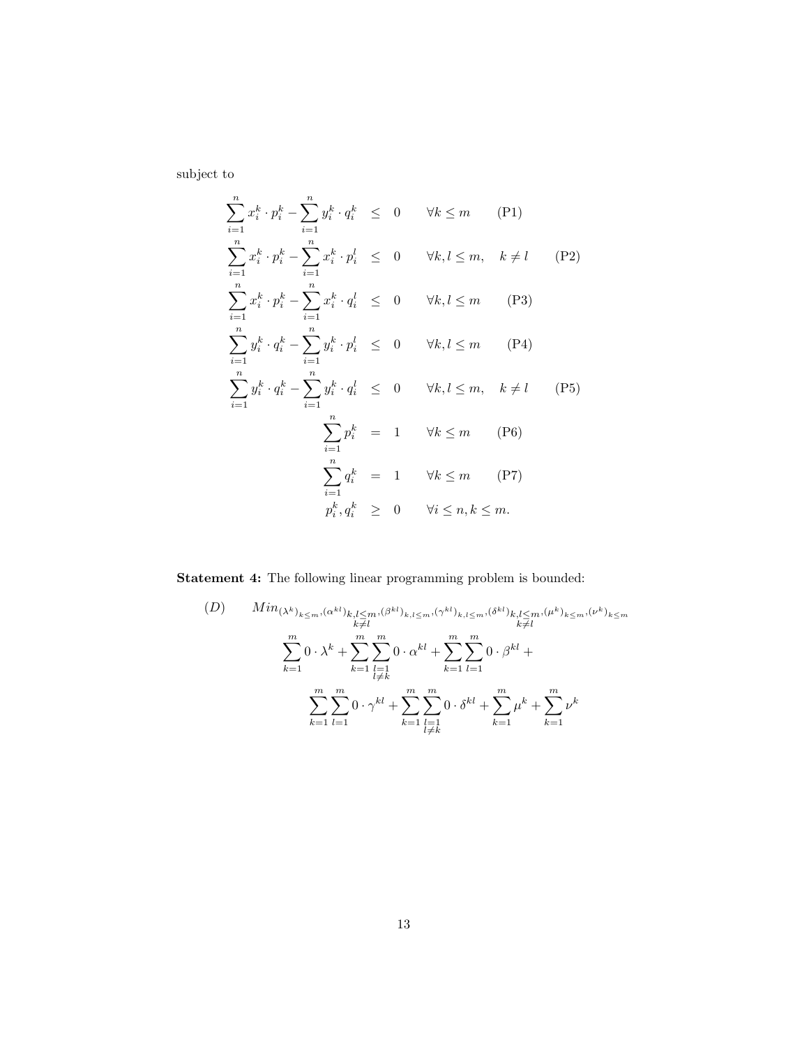subject to

$$
\sum_{i=1}^{n} x_i^k \cdot p_i^k - \sum_{i=1}^{n} y_i^k \cdot q_i^k \leq 0 \quad \forall k \leq m \quad (P1)
$$
  

$$
\sum_{i=1}^{n} x_i^k \cdot p_i^k - \sum_{i=1}^{n} x_i^k \cdot p_i^l \leq 0 \quad \forall k, l \leq m, \quad k \neq l \quad (P2)
$$
  

$$
\sum_{i=1}^{n} x_i^k \cdot p_i^k - \sum_{i=1}^{n} x_i^k \cdot q_i^l \leq 0 \quad \forall k, l \leq m \quad (P3)
$$
  

$$
\sum_{i=1}^{n} y_i^k \cdot q_i^k - \sum_{i=1}^{n} y_i^k \cdot p_i^l \leq 0 \quad \forall k, l \leq m \quad (P4)
$$
  

$$
\sum_{i=1}^{n} y_i^k \cdot q_i^k - \sum_{i=1}^{n} y_i^k \cdot q_i^l \leq 0 \quad \forall k, l \leq m, \quad k \neq l \quad (P5)
$$
  

$$
\sum_{i=1}^{n} p_i^k = 1 \quad \forall k \leq m \quad (P6)
$$
  

$$
\sum_{i=1}^{n} q_i^k = 1 \quad \forall k \leq m \quad (P7)
$$
  

$$
p_i^k, q_i^k \geq 0 \quad \forall i \leq n, k \leq m.
$$

Statement 4: The following linear programming problem is bounded:

$$
(D) \qquad Min_{(\lambda^{k})_{k\leq m},(\alpha^{kl})_{k,l\leq m},(\beta^{kl})_{k,l\leq m},(\gamma^{kl})_{k,l\leq m},(\delta^{kl})_{k,l\leq m},(\mu^{k})_{k\leq m},(\nu^{k})_{k\leq m}} \atop \sum_{k=1}^{m} 0 \cdot \lambda^{k} + \sum_{k=1}^{m} \sum_{\substack{l=1 \ l \neq k}}^{m} 0 \cdot \alpha^{kl} + \sum_{k=1}^{m} \sum_{l=1}^{m} 0 \cdot \beta^{kl} + \sum_{k=1}^{m} \sum_{l=1}^{m} 0 \cdot \beta^{kl} + \sum_{k=1}^{m} \sum_{\substack{l=1 \ l \neq k}}^{m} 0 \cdot \delta^{kl} + \sum_{k=1}^{m} \mu^{k} + \sum_{k=1}^{m} \nu^{k}
$$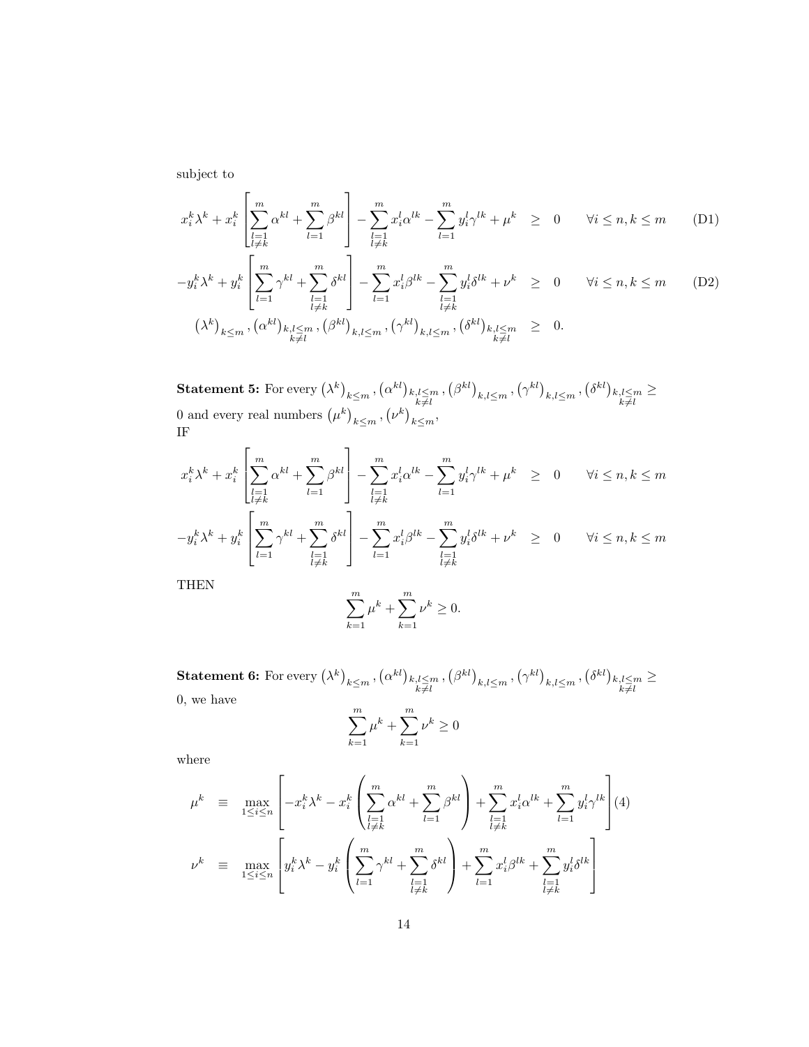subject to

$$
x_i^k \lambda^k + x_i^k \left[ \sum_{\substack{l=1 \ l \neq k}}^m \alpha^{kl} + \sum_{l=1}^m \beta^{kl} \right] - \sum_{\substack{l=1 \ l \neq k}}^m x_i^l \alpha^{lk} - \sum_{l=1}^m y_i^l \gamma^{lk} + \mu^k \ge 0 \qquad \forall i \le n, k \le m \tag{D1}
$$

$$
-y_i^k \lambda^k + y_i^k \left[ \sum_{l=1}^m \gamma^{kl} + \sum_{\substack{l=1 \ l \neq k}}^m \delta^{kl} \right] - \sum_{l=1}^m x_i^l \beta^{lk} - \sum_{\substack{l=1 \ l \neq k}}^m y_i^l \delta^{lk} + \nu^k \ge 0 \qquad \forall i \le n, k \le m \tag{D2}
$$
  

$$
(\lambda^k)_{k \le m}, (\alpha^{kl})_{k,l \le m}, (\beta^{kl})_{k,l \le m}, (\gamma^{kl})_{k,l \le m}, (\delta^{kl})_{k,l \le m} \ge 0.
$$

 ${\bf Statement \ 5:} \ \text{For every } \big( \lambda^k \big)_{\substack{k \leq m\pmod{k} \\ k \neq l}} , \big( \alpha^{kl} \big)_{\substack{k,l \leq m \\ k \neq l}} , \big( \beta^{kl} \big)_{\substack{k,l \leq m \\ k,l \leq m}} , \big( \gamma^{kl} \big)_{\substack{k,l \leq m \\ k \neq l}} , \big( \delta^{kl} \big)_{\substack{k,l \leq m \\ k \neq l}}$ ≥ 0 and every real numbers  $(\mu^k)_{k \leq m}, (\nu^k)_{k \leq m}$ , IF

$$
x_i^k \lambda^k + x_i^k \left[ \sum_{\substack{l=1 \ l \neq k}}^m \alpha^{kl} + \sum_{l=1}^m \beta^{kl} \right] - \sum_{\substack{l=1 \ l \neq k}}^m x_i^l \alpha^{lk} - \sum_{l=1}^m y_i^l \gamma^{lk} + \mu^k \ge 0 \qquad \forall i \le n, k \le m
$$
  

$$
-y_i^k \lambda^k + y_i^k \left[ \sum_{l=1}^m \gamma^{kl} + \sum_{\substack{l=1 \ l \neq k}}^m \delta^{kl} \right] - \sum_{l=1}^m x_i^l \beta^{lk} - \sum_{\substack{l=1 \ l \neq k}}^m y_i^l \delta^{lk} + \nu^k \ge 0 \qquad \forall i \le n, k \le m
$$

THEN

$$
\sum_{k=1}^{m} \mu^{k} + \sum_{k=1}^{m} \nu^{k} \ge 0.
$$

 ${\bf Statement~6:} \text{ For every } \big(\lambda^k\big)_{\substack{k \leq m\pmod{k} \\ k \neq l}} , \big(\beta^{kl}\big)_{\substack{k,l \leq m \\ k \neq l}} , \big(\beta^{kl}\big)_{\substack{k,l \leq m \\ k \neq l}} , \big(\gamma^{kl}\big)_{\substack{k,l \leq m \\ k \neq l}} , \big(\delta^{kl}\big)_{\substack{k,l \leq m}}$ ≥ 0, we have

$$
\sum_{k=1}^{m} \mu^{k} + \sum_{k=1}^{m} \nu^{k} \ge 0
$$

where

$$
\mu^{k} \equiv \max_{1 \leq i \leq n} \left[ -x_{i}^{k} \lambda^{k} - x_{i}^{k} \left( \sum_{\substack{l=1 \\ l \neq k}}^{m} \alpha^{kl} + \sum_{l=1}^{m} \beta^{kl} \right) + \sum_{\substack{l=1 \\ l \neq k}}^{m} x_{i}^{l} \alpha^{lk} + \sum_{l=1}^{m} y_{i}^{l} \gamma^{lk} \right] (4)
$$
  

$$
\nu^{k} \equiv \max_{1 \leq i \leq n} \left[ y_{i}^{k} \lambda^{k} - y_{i}^{k} \left( \sum_{l=1}^{m} \gamma^{kl} + \sum_{\substack{l=1 \\ l \neq k}}^{m} \delta^{kl} \right) + \sum_{l=1}^{m} x_{i}^{l} \beta^{lk} + \sum_{\substack{l=1 \\ l \neq k}}^{m} y_{i}^{l} \delta^{lk} \right]
$$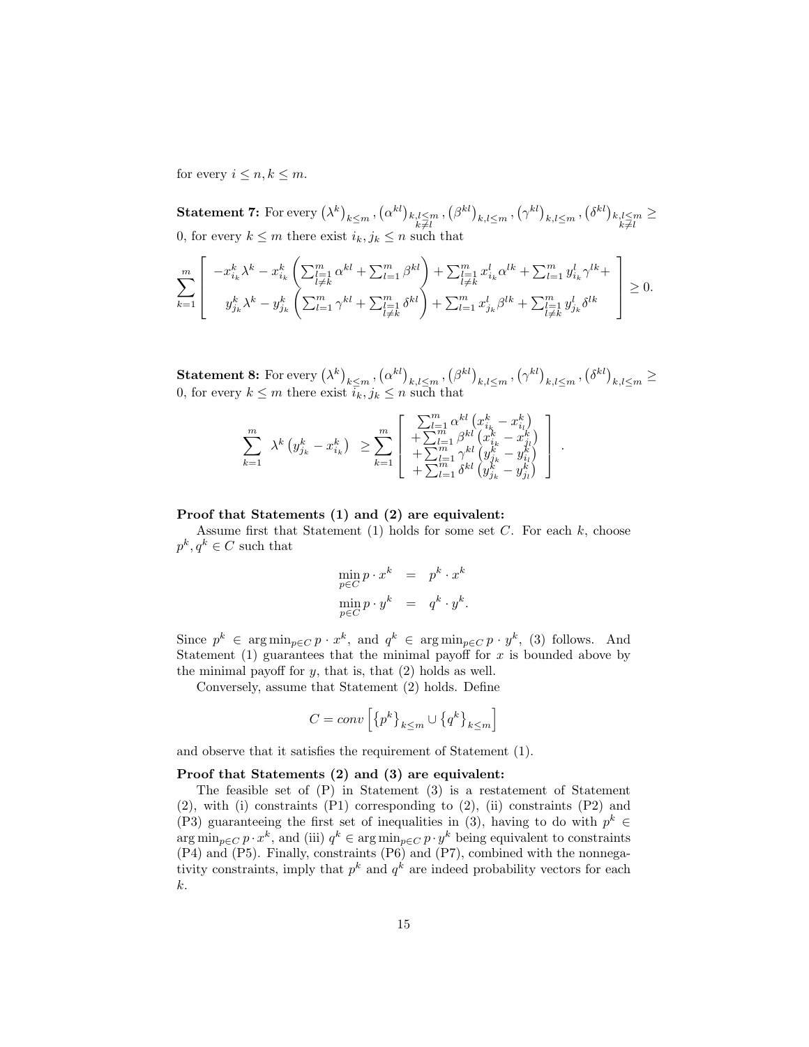for every  $i \leq n, k \leq m$ .

 $\textbf{Statement 7:} \text{ For every } \left(\lambda^k\right)_{\substack{k \leq m\k \neq l}} , \left(\alpha^{kl}\right)_{\substack{k,l \leq m\k \neq l}} , \left(\beta^{kl}\right)_{\substack{k,l \leq m\k \neq l}} , \left(\gamma^{kl}\right)_{\substack{k,l \leq m\k \neq l}} , \left(\delta^{kl}\right)_{\substack{k,l \leq m\k \neq l}}$ ≥ 0, for every  $k \leq m$  there exist  $i_k, j_k \leq n$  such that

$$
\sum_{k=1}^{m} \left[ \begin{array}{c} -x_{i_k}^k \lambda^k - x_{i_k}^k \left( \sum_{\substack{l=1 \\ l \neq k}}^m \alpha^{kl} + \sum_{l=1}^m \beta^{kl} \right) + \sum_{\substack{l=1 \\ l \neq k}}^m x_{i_k}^l \alpha^{lk} + \sum_{l=1}^m y_{i_k}^l \gamma^{lk} + \\ y_{j_k}^k \lambda^k - y_{j_k}^k \left( \sum_{l=1}^m \gamma^{kl} + \sum_{\substack{l=1 \\ l \neq k}}^m \delta^{kl} \right) + \sum_{l=1}^m x_{j_k}^l \beta^{lk} + \sum_{\substack{l=1 \\ l \neq k}}^m y_{j_k}^l \delta^{lk} \end{array} \right] \ge 0.
$$

 ${\bf Statement~8:} \text{ For every } \left(\lambda^k\right)_{k\leq m}, \left(\alpha^{kl}\right)_{k,l\leq m}, \left(\beta^{kl}\right)_{k,l\leq m}, \left(\gamma^{kl}\right)_{k,l\leq m}, \left(\delta^{kl}\right)_{k,l\leq m} \geq 0$ 0, for every  $k \leq m$  there exist  $\overline{i_k}, j_k \leq n$  such that

.

$$
\sum_{k=1}^{m}\;\; \lambda^{k}\left(y_{j_{k}}^{k}-x_{i_{k}}^{k}\right)\;\; \geq \sum_{k=1}^{m}\left[\begin{array}{c} \sum_{l=1}^{m}\alpha^{kl}\left(x_{i_{k}}^{k}-x_{i_{l}}^{k}\right) \\ +\sum_{l=1}^{m}\beta^{kl}\left(x_{i_{k}}^{k}-x_{j_{l}}^{k}\right) \\ +\sum_{l=1}^{m}\gamma^{kl}\left(y_{j_{k}}^{k}-y_{i_{l}}^{k}\right) \\ +\sum_{l=1}^{m}\delta^{kl}\left(y_{j_{k}}^{k}-y_{j_{l}}^{k}\right) \end{array}\right]
$$

### Proof that Statements (1) and (2) are equivalent:

Assume first that Statement  $(1)$  holds for some set C. For each k, choose  $p^k, q^k \in C$  such that

$$
\begin{array}{rcl}\n\min_{p \in C} p \cdot x^k & = & p^k \cdot x^k \\
\min_{p \in C} p \cdot y^k & = & q^k \cdot y^k.\n\end{array}
$$

Since  $p^k \in \arg \min_{p \in C} p \cdot x^k$ , and  $q^k \in \arg \min_{p \in C} p \cdot y^k$ , (3) follows. And Statement (1) guarantees that the minimal payoff for  $x$  is bounded above by the minimal payoff for  $y$ , that is, that  $(2)$  holds as well.

Conversely, assume that Statement (2) holds. Define

$$
C = conv\left[\left\{p^k\right\}_{k \leq m} \cup \left\{q^k\right\}_{k \leq m}\right]
$$

and observe that it satisfies the requirement of Statement (1).

### Proof that Statements (2) and (3) are equivalent:

The feasible set of (P) in Statement (3) is a restatement of Statement (2), with (i) constraints (P1) corresponding to (2), (ii) constraints (P2) and (P3) guaranteeing the first set of inequalities in (3), having to do with  $p^k \in$  $\arg\min_{p\in C} p \cdot x^k$ , and (iii)  $q^k \in \arg\min_{p\in C} p \cdot y^k$  being equivalent to constraints (P4) and (P5). Finally, constraints (P6) and (P7), combined with the nonnegativity constraints, imply that  $p^k$  and  $q^k$  are indeed probability vectors for each k.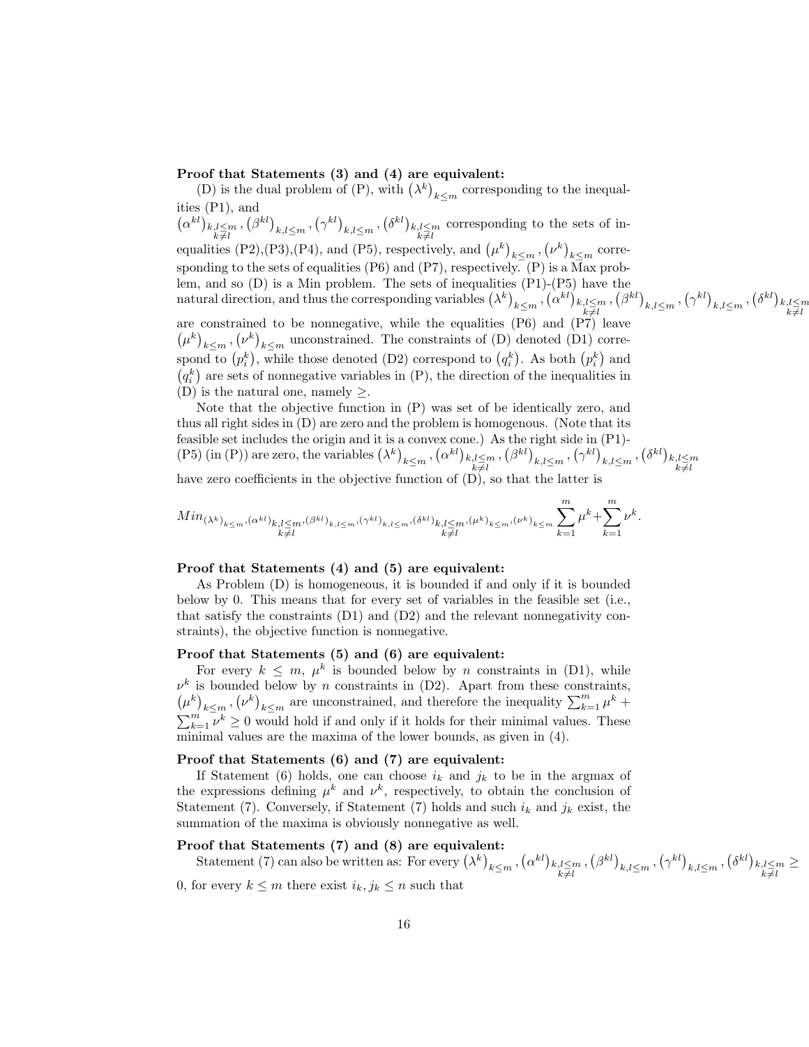### Proof that Statements (3) and (4) are equivalent:

(D) is the dual problem of (P), with  $(\lambda^k)_{k \leq m}$  corresponding to the inequalities (P1), and  $(\alpha^{kl})_{\substack{k,l\leq m\\k\neq l}}$ ,  $(\beta^{kl})_{\substack{k,l\leq m\\k\neq l}}$ ,  $(\gamma^{kl})_{\substack{k,l\leq m\\k\neq l}}$  corresponding to the sets of inequalities (P2),(P3),(P4), and (P5), respectively, and  $(\mu^k)_{k \le m}$ ,  $(\nu^k)_{k \le m}$  corresponding to the sets of equalities (P6) and (P7), respectively. (P) is a  $\overline{Max}$  problem, and so (D) is a Min problem. The sets of inequalities (P1)-(P5) have the  $\text{natural direction, and thus the corresponding variables } (\lambda^k)_{k \leq m}, (\alpha^{kl})_{k,l \leq m}, (\beta^{kl})_{k,l \leq m}, (\gamma^{kl})_{k,l \leq m}, (\delta^{kl})_{k,l \leq m}, (\delta^{kl})_{k,l \leq m}$ are constrained to be nonnegative, while the equalities (P6) and (P7) leave  $(\mu^k)_{k \leq m}, (\nu^k)_{k \leq m}$  unconstrained. The constraints of (D) denoted (D1) correspond to  $(p_i^k)$ , while those denoted (D2) correspond to  $(q_i^k)$ . As both  $(p_i^k)$  and  $(q_i^k)$  are sets of nonnegative variables in  $(P)$ , the direction of the inequalities in (D) is the natural one, namely  $\geq$ .

Note that the objective function in (P) was set of be identically zero, and thus all right sides in (D) are zero and the problem is homogenous. (Note that its feasible set includes the origin and it is a convex cone.) As the right side in (P1)- (P5) (in (P)) are zero, the variables  $(\lambda^k)_{k \leq m}$ ,  $(\alpha^{kl})_{k,l \leq m}$ ,  $(\beta^{kl})_{k,l \leq m}$ ,  $(\gamma^{kl})_{k,l \leq m}$ ,  $(\delta^{kl})_{k,l \leq m}$ 

have zero coefficients in the objective function of  $(D)$ , so that the latter is

$$
Min_{(\lambda^k)_{k \leq m}, (\alpha^{kl})_{k,l \leq m}, (\beta^{kl})_{k,l \leq m}, (\gamma^{kl})_{k,l \leq m}, (\delta^{kl})_{k,l \leq m}, (\mu^k)_{k \leq m}, (\nu^k)_{k \leq m} \sum_{k=1}^m \mu^k + \sum_{k=1}^m \nu^k.
$$

#### Proof that Statements (4) and (5) are equivalent:

As Problem (D) is homogeneous, it is bounded if and only if it is bounded below by 0. This means that for every set of variables in the feasible set (i.e., that satisfy the constraints  $(D1)$  and  $(D2)$  and the relevant nonnegativity constraints), the objective function is nonnegative.

### Proof that Statements (5) and (6) are equivalent:

For every  $k \leq m$ ,  $\mu^k$  is bounded below by *n* constraints in (D1), while  $\nu^k$  is bounded below by *n* constraints in (D2). Apart from these constraints,  $(\mu^k)_{k \leq m}, (\nu^k)_{k \leq m}$  are unconstrained, and therefore the inequality  $\sum_{k=1}^m \mu^k +$  $\sum_{k=1}^{m} \nu^k \geq 0$  would hold if and only if it holds for their minimal values. These minimal values are the maxima of the lower bounds, as given in (4).

#### Proof that Statements (6) and (7) are equivalent:

If Statement (6) holds, one can choose  $i_k$  and  $j_k$  to be in the argmax of the expressions defining  $\mu^k$  and  $\nu^k$ , respectively, to obtain the conclusion of Statement (7). Conversely, if Statement (7) holds and such  $i_k$  and  $j_k$  exist, the summation of the maxima is obviously nonnegative as well.

### Proof that Statements (7) and (8) are equivalent:

Statement (7) can also be written as: For every  $(\lambda^k)_{k \leq m}$ ,  $(\alpha^{kl})_{k,l \leq m}$ ,  $(\beta^{kl})_{k,l \leq m}$ ,  $(\gamma^{kl})_{k,l \leq m}$ ,  $(\delta^{kl})_{k,l \leq m}$ ≥

0, for every  $k \leq m$  there exist  $i_k, j_k \leq n$  such that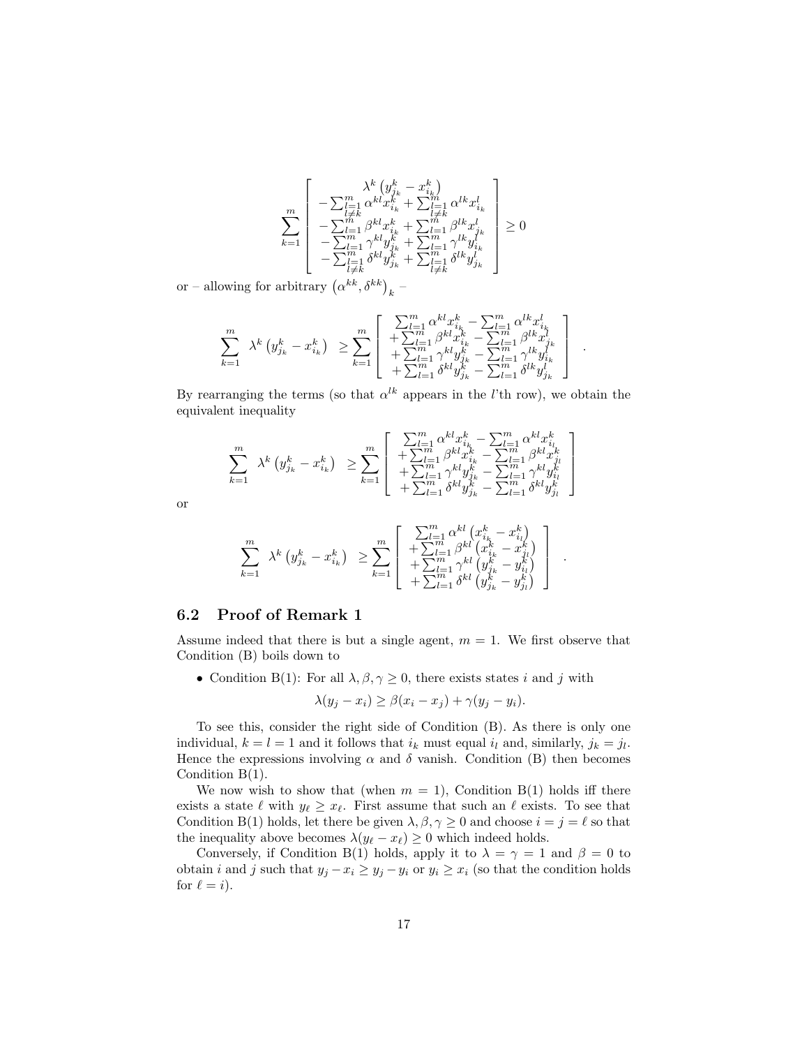$$
\sum_{k=1}^m \left[ \begin{array}{c} \lambda^k \left( y^k_{j_k} - x^k_{i_k} \right) \\ - \sum_{l=1}^m \alpha^{kl} x^k_{i_k} + \sum_{l=1}^m \alpha^{lk} x^l_{i_k} \\ - \sum_{l=1}^m \beta^{kl} x^k_{i_k} + \sum_{l=1}^m \beta^{lk} x^l_{j_k} \\ - \sum_{l=1}^m \gamma^{kl} y^k_{j_k} + \sum_{l=1}^m \gamma^{lk} y^l_{i_k} \\ - \sum_{\substack{l=1 \\ l \neq k}}^m \delta^{kl} y^k_{j_k} + \sum_{\substack{l=1 \\ l \neq k}}^m \delta^{lk} y^l_{j_k} \end{array} \right] \geq 0
$$

or – allowing for arbitrary  $(\alpha^{kk}, \delta^{kk})_k$  –

$$
\sum_{k=1}^m \lambda^k \left( y^k_{j_k} - x^k_{i_k} \right) \geq \sum_{k=1}^m \begin{bmatrix} \sum_{l=1}^m \alpha^{kl} x^k_{i_k} - \sum_{l=1}^m \alpha^{lk} x^l_{i_k} \\ + \sum_{l=1}^m \beta^{kl} x^k_{i_k} - \sum_{l=1}^m \beta^{lk} x^l_{j_k} \\ + \sum_{l=1}^m \gamma^{kl} y^k_{j_k} - \sum_{l=1}^m \gamma^{lk} y^l_{i_k} \\ + \sum_{l=1}^m \delta^{kl} y^k_{j_k} - \sum_{l=1}^m \delta^{lk} y^l_{j_k} \end{bmatrix}.
$$

.

.

By rearranging the terms (so that  $\alpha^{lk}$  appears in the *l*'th row), we obtain the equivalent inequality

$$
\sum_{k=1}^m \ \lambda^k \left( y^k_{j_k} - x^k_{i_k} \right) \ \geq \sum_{k=1}^m \left[ \begin{array}{c} \sum_{l=1}^m \alpha^{kl} x^k_{i_k} - \sum_{l=1}^m \alpha^{kl} x^k_{i_l} \\ + \sum_{l=1}^m \beta^{kl} x^k_{i_k} - \sum_{l=1}^m \beta^{kl} x^k_{j_l} \\ + \sum_{l=1}^m \gamma^{kl} y^k_{j_k} - \sum_{l=1}^m \gamma^{kl} y^k_{i_l} \\ + \sum_{l=1}^m \delta^{kl} y^k_{j_k} - \sum_{l=1}^m \delta^{kl} y^k_{j_l} \end{array} \right]
$$

or

$$
\sum_{k=1}^{m} \lambda^{k} \left( y_{j_{k}}^{k} - x_{i_{k}}^{k} \right) \geq \sum_{k=1}^{m} \left[ \begin{array}{c} \sum_{l=1}^{m} \alpha^{kl} \left( x_{i_{k}}^{k} - x_{i_{l}}^{k} \right) \\ + \sum_{l=1}^{m} \beta^{kl} \left( x_{i_{k}}^{k} - x_{j_{l}}^{k} \right) \\ + \sum_{l=1}^{m} \gamma^{kl} \left( y_{j_{k}}^{k} - y_{i_{l}}^{k} \right) \\ + \sum_{l=1}^{m} \delta^{kl} \left( y_{j_{k}}^{k} - y_{j_{l}}^{k} \right) \end{array} \right]
$$

### 6.2 Proof of Remark 1

Assume indeed that there is but a single agent,  $m = 1$ . We first observe that Condition (B) boils down to

• Condition B(1): For all  $\lambda, \beta, \gamma \geq 0$ , there exists states i and j with

$$
\lambda(y_j - x_i) \ge \beta(x_i - x_j) + \gamma(y_j - y_i).
$$

To see this, consider the right side of Condition (B). As there is only one individual,  $k = l = 1$  and it follows that  $i_k$  must equal  $i_l$  and, similarly,  $j_k = j_l$ . Hence the expressions involving  $\alpha$  and  $\delta$  vanish. Condition (B) then becomes Condition B(1).

We now wish to show that (when  $m = 1$ ), Condition B(1) holds iff there exists a state  $\ell$  with  $y_{\ell} \ge x_{\ell}$ . First assume that such an  $\ell$  exists. To see that Condition B(1) holds, let there be given  $\lambda, \beta, \gamma \geq 0$  and choose  $i = j = \ell$  so that the inequality above becomes  $\lambda(y_\ell - x_\ell) \geq 0$  which indeed holds.

Conversely, if Condition B(1) holds, apply it to  $\lambda = \gamma = 1$  and  $\beta = 0$  to obtain *i* and *j* such that  $y_j - x_i \ge y_j - y_i$  or  $y_i \ge x_i$  (so that the condition holds for  $\ell = i$ .